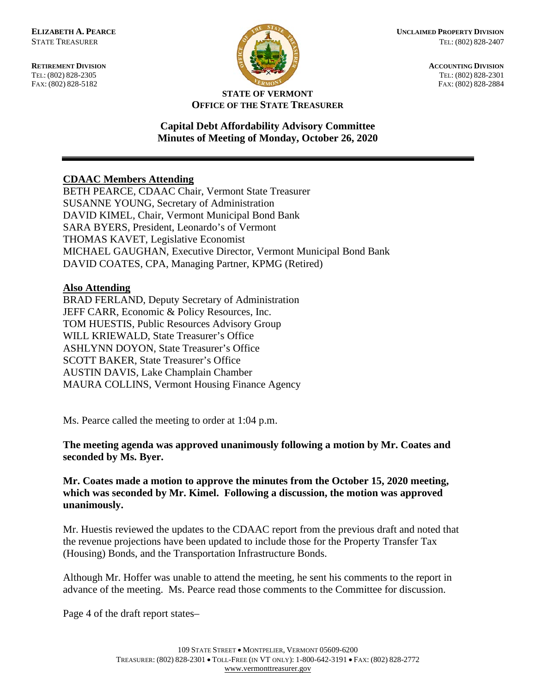**RETIREMENT DIVISION ACCOUNTING DIVISION** TEL: (802) 828-2305<br>
FAX: (802) 828-2305<br>
FAX: (802) 828-2884<br>
TEL: (802) 828-2884 FAX: (802) 828-5182



#### **STATE OF VERMONT OFFICE OF THE STATE TREASURER**

### **Capital Debt Affordability Advisory Committee Minutes of Meeting of Monday, October 26, 2020**

# **CDAAC Members Attending**

BETH PEARCE, CDAAC Chair, Vermont State Treasurer SUSANNE YOUNG, Secretary of Administration DAVID KIMEL, Chair, Vermont Municipal Bond Bank SARA BYERS, President, Leonardo's of Vermont THOMAS KAVET, Legislative Economist MICHAEL GAUGHAN, Executive Director, Vermont Municipal Bond Bank DAVID COATES, CPA, Managing Partner, KPMG (Retired)

# **Also Attending**

BRAD FERLAND, Deputy Secretary of Administration JEFF CARR, Economic & Policy Resources, Inc. TOM HUESTIS, Public Resources Advisory Group WILL KRIEWALD, State Treasurer's Office ASHLYNN DOYON, State Treasurer's Office SCOTT BAKER, State Treasurer's Office AUSTIN DAVIS, Lake Champlain Chamber MAURA COLLINS, Vermont Housing Finance Agency

Ms. Pearce called the meeting to order at 1:04 p.m.

**The meeting agenda was approved unanimously following a motion by Mr. Coates and seconded by Ms. Byer.**

### **Mr. Coates made a motion to approve the minutes from the October 15, 2020 meeting, which was seconded by Mr. Kimel. Following a discussion, the motion was approved unanimously.**

Mr. Huestis reviewed the updates to the CDAAC report from the previous draft and noted that the revenue projections have been updated to include those for the Property Transfer Tax (Housing) Bonds, and the Transportation Infrastructure Bonds.

Although Mr. Hoffer was unable to attend the meeting, he sent his comments to the report in advance of the meeting. Ms. Pearce read those comments to the Committee for discussion.

Page 4 of the draft report states–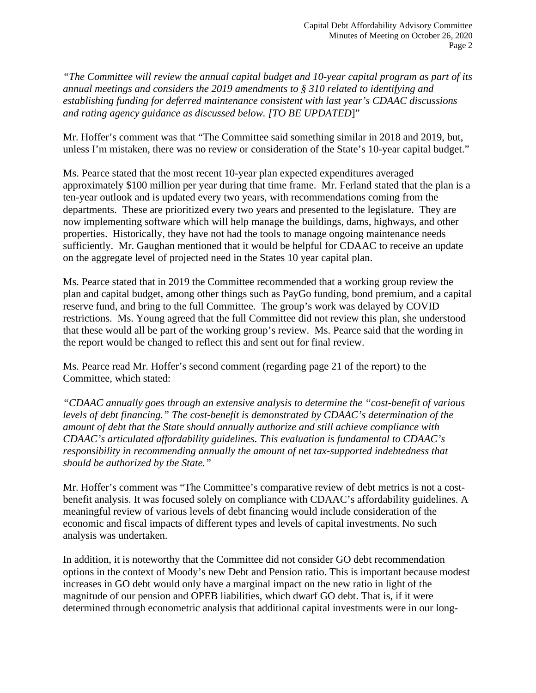*"The Committee will review the annual capital budget and 10-year capital program as part of its annual meetings and considers the 2019 amendments to § 310 related to identifying and establishing funding for deferred maintenance consistent with last year's CDAAC discussions and rating agency guidance as discussed below. [TO BE UPDATED*]"

Mr. Hoffer's comment was that "The Committee said something similar in 2018 and 2019, but, unless I'm mistaken, there was no review or consideration of the State's 10-year capital budget."

Ms. Pearce stated that the most recent 10-year plan expected expenditures averaged approximately \$100 million per year during that time frame. Mr. Ferland stated that the plan is a ten-year outlook and is updated every two years, with recommendations coming from the departments. These are prioritized every two years and presented to the legislature. They are now implementing software which will help manage the buildings, dams, highways, and other properties. Historically, they have not had the tools to manage ongoing maintenance needs sufficiently. Mr. Gaughan mentioned that it would be helpful for CDAAC to receive an update on the aggregate level of projected need in the States 10 year capital plan.

Ms. Pearce stated that in 2019 the Committee recommended that a working group review the plan and capital budget, among other things such as PayGo funding, bond premium, and a capital reserve fund, and bring to the full Committee. The group's work was delayed by COVID restrictions. Ms. Young agreed that the full Committee did not review this plan, she understood that these would all be part of the working group's review. Ms. Pearce said that the wording in the report would be changed to reflect this and sent out for final review.

Ms. Pearce read Mr. Hoffer's second comment (regarding page 21 of the report) to the Committee, which stated:

*"CDAAC annually goes through an extensive analysis to determine the "cost-benefit of various levels of debt financing." The cost-benefit is demonstrated by CDAAC's determination of the amount of debt that the State should annually authorize and still achieve compliance with CDAAC's articulated affordability guidelines. This evaluation is fundamental to CDAAC's responsibility in recommending annually the amount of net tax-supported indebtedness that should be authorized by the State."*

Mr. Hoffer's comment was "The Committee's comparative review of debt metrics is not a costbenefit analysis. It was focused solely on compliance with CDAAC's affordability guidelines. A meaningful review of various levels of debt financing would include consideration of the economic and fiscal impacts of different types and levels of capital investments. No such analysis was undertaken.

In addition, it is noteworthy that the Committee did not consider GO debt recommendation options in the context of Moody's new Debt and Pension ratio. This is important because modest increases in GO debt would only have a marginal impact on the new ratio in light of the magnitude of our pension and OPEB liabilities, which dwarf GO debt. That is, if it were determined through econometric analysis that additional capital investments were in our long